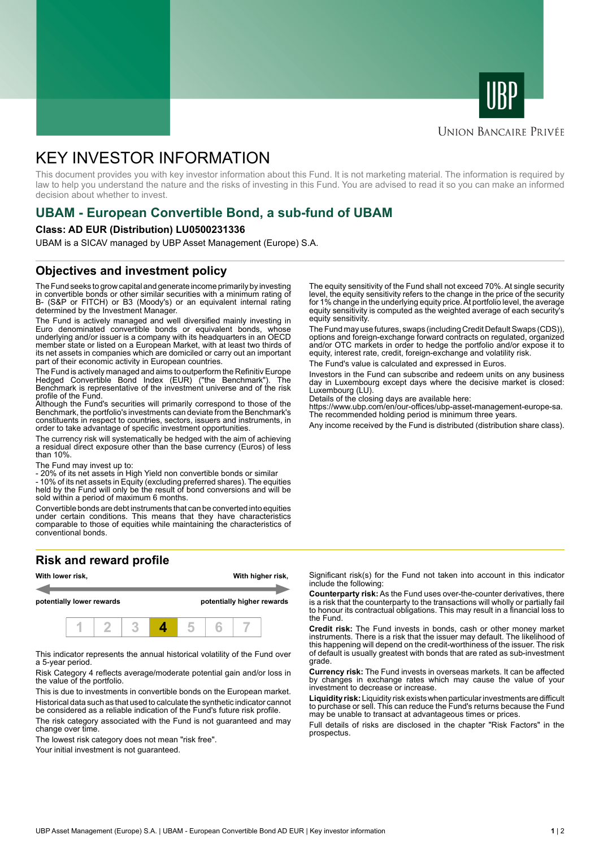



# **UNION BANCAIRE PRIVÉE**

# KEY INVESTOR INFORMATION

This document provides you with key investor information about this Fund. It is not marketing material. The information is required by law to help you understand the nature and the risks of investing in this Fund. You are advised to read it so you can make an informed decision about whether to invest.

# **UBAM - European Convertible Bond, a sub-fund of UBAM**

#### **Class: AD EUR (Distribution) LU0500231336**

UBAM is a SICAV managed by UBP Asset Management (Europe) S.A.

## **Objectives and investment policy**

The Fund seeks to grow capital and generate income primarily by investing in convertible bonds or other similar securities with a minimum rating of B- (S&P or FITCH) or B3 (Moody's) or an equivalent internal rating determined by the Investment Manager.

The Fund is actively managed and well diversified mainly investing in Euro denominated convertible bonds or equivalent bonds, whose underlying and/or issuer is a company with its headquarters in an OECD member state or listed on a European Market, with at least two thirds of its net assets in companies which are domiciled or carry out an important part of their economic activity in European countries.

The Fund is actively managed and aims to outperform the Refinitiv Europe Hedged Convertible Bond Index (EUR) ("the Benchmark"). The Benchmark is representative of the investment universe and of the risk profile of the Fund.

Although the Fund's securities will primarily correspond to those of the Benchmark, the portfolio's investments can deviate from the Benchmark's constituents in respect to countries, sectors, issuers and instruments, in order to take advantage of specific investment opportunities.

The currency risk will systematically be hedged with the aim of achieving a residual direct exposure other than the base currency (Euros) of less than 10%.

The Fund may invest up to:

- 20% of its net assets in High Yield non convertible bonds or similar

- 10% of its net assets in Equity (excluding preferred shares). The equities held by the Fund will only be the result of bond conversions and will be sold within a period of maximum 6 months.

Convertible bonds are debt instruments that can be converted into equities under certain conditions. This means that they have characteristics comparable to those of equities while maintaining the characteristics of conventional bonds.

## **Risk and reward profile**



This indicator represents the annual historical volatility of the Fund over a 5-year period.

Risk Category 4 reflects average/moderate potential gain and/or loss in the value of the portfolio.

This is due to investments in convertible bonds on the European market. Historical data such as that used to calculate the synthetic indicator cannot be considered as a reliable indication of the Fund's future risk profile.

The risk category associated with the Fund is not guaranteed and may change over time.

The lowest risk category does not mean "risk free".

Your initial investment is not quaranteed.

The equity sensitivity of the Fund shall not exceed 70%. At single security level, the equity sensitivity refers to the change in the price of the security for 1% change in the underlying equity price. At portfolio level, the average equity sensitivity is computed as the weighted average of each security's equity sensitivity.

The Fund may use futures, swaps (including Credit Default Swaps (CDS)), options and foreign-exchange forward contracts on regulated, organized and/or OTC markets in order to hedge the portfolio and/or expose it to equity, interest rate, credit, foreign-exchange and volatility risk.

The Fund's value is calculated and expressed in Euros.

Investors in the Fund can subscribe and redeem units on any business day in Luxembourg except days where the decisive market is closed: Luxembourg (LU).

Details of the closing days are available here:

https://www.ubp.com/en/our-offices/ubp-asset-management-europe-sa. The recommended holding period is minimum three years.

Any income received by the Fund is distributed (distribution share class).

Significant risk(s) for the Fund not taken into account in this indicator include the following:

**Counterparty risk:** As the Fund uses over-the-counter derivatives, there is a risk that the counterparty to the transactions will wholly or partially fail to honour its contractual obligations. This may result in a financial loss to the Fund.

**Credit risk:** The Fund invests in bonds, cash or other money market instruments. There is a risk that the issuer may default. The likelihood of this happening will depend on the credit-worthiness of the issuer. The risk of default is usually greatest with bonds that are rated as sub-investment grade.

**Currency risk:** The Fund invests in overseas markets. It can be affected by changes in exchange rates which may cause the value of your investment to decrease or increase.

**Liquidity risk:** Liquidity risk exists when particular investments are difficult to purchase or sell. This can reduce the Fund's returns because the Fund may be unable to transact at advantageous times or prices.

Full details of risks are disclosed in the chapter "Risk Factors" in the prospectus.